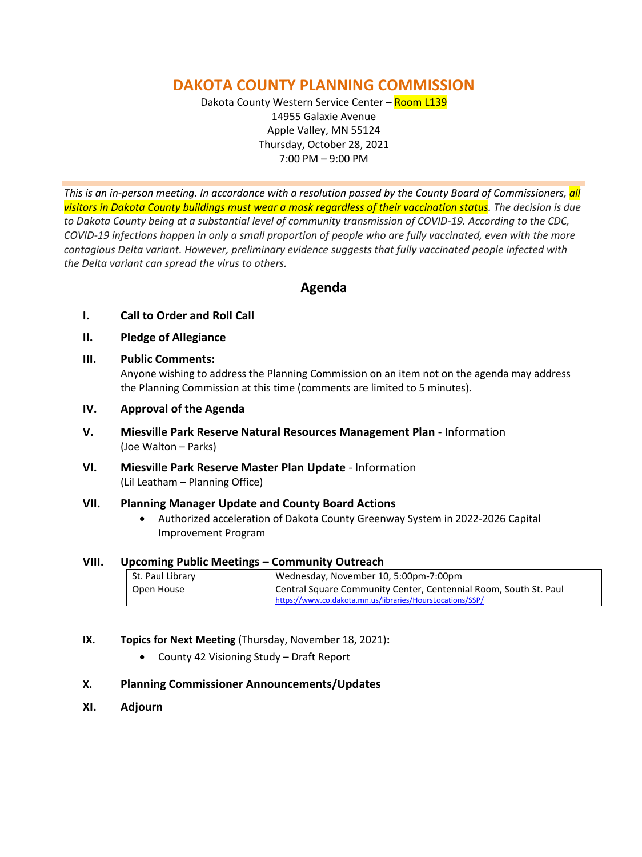# **DAKOTA COUNTY PLANNING COMMISSION**

Dakota County Western Service Center - Room L139 14955 Galaxie Avenue Apple Valley, MN 55124 Thursday, October 28, 2021 7:00 PM – 9:00 PM

*This is an in-person meeting. In accordance with a resolution passed by the County Board of Commissioners, all visitors in Dakota County buildings must wear a mask regardless of their vaccination status. The decision is due to Dakota County being at a substantial level of community transmission of COVID-19. According to the CDC, COVID-19 infections happen in only a small proportion of people who are fully vaccinated, even with the more contagious Delta variant. However, preliminary evidence suggests that fully vaccinated people infected with the Delta variant can spread the virus to others.*

# **Agenda**

- **I. Call to Order and Roll Call**
- **II. Pledge of Allegiance**
- **III. Public Comments:**

Anyone wishing to address the Planning Commission on an item not on the agenda may address the Planning Commission at this time (comments are limited to 5 minutes).

- **IV. Approval of the Agenda**
- **V. Miesville Park Reserve Natural Resources Management Plan**  Information (Joe Walton – Parks)
- **VI. Miesville Park Reserve Master Plan Update**  Information (Lil Leatham – Planning Office)

# **VII. Planning Manager Update and County Board Actions**

• Authorized acceleration of Dakota County Greenway System in 2022-2026 Capital Improvement Program

# **VIII. Upcoming Public Meetings – Community Outreach**

| St. Paul Library | Wednesday, November 10, 5:00pm-7:00pm                            |
|------------------|------------------------------------------------------------------|
| Open House       | Central Square Community Center, Centennial Room, South St. Paul |
|                  | https://www.co.dakota.mn.us/libraries/HoursLocations/SSP/        |

**IX. Topics for Next Meeting** (Thursday, November 18, 2021)**:**

• County 42 Visioning Study – Draft Report

# **X. Planning Commissioner Announcements/Updates**

**XI. Adjourn**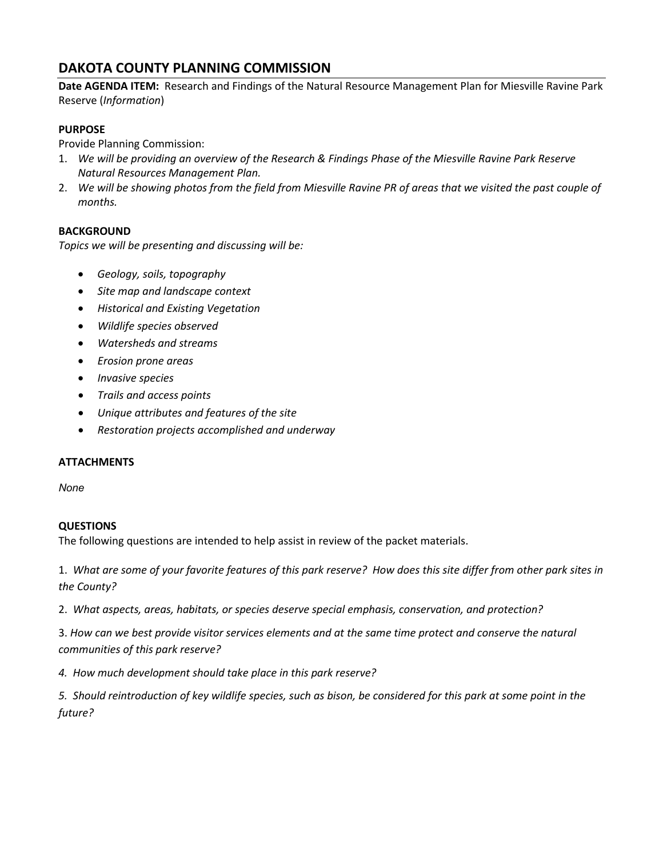# **DAKOTA COUNTY PLANNING COMMISSION**

**Date AGENDA ITEM:** Research and Findings of the Natural Resource Management Plan for Miesville Ravine Park Reserve (*Information*)

### **PURPOSE**

Provide Planning Commission:

- 1. *We will be providing an overview of the Research & Findings Phase of the Miesville Ravine Park Reserve Natural Resources Management Plan.*
- 2. *We will be showing photos from the field from Miesville Ravine PR of areas that we visited the past couple of months.*

# **BACKGROUND**

*Topics we will be presenting and discussing will be:* 

- *Geology, soils, topography*
- *Site map and landscape context*
- *Historical and Existing Vegetation*
- *Wildlife species observed*
- *Watersheds and streams*
- *Erosion prone areas*
- *Invasive species*
- *Trails and access points*
- *Unique attributes and features of the site*
- *Restoration projects accomplished and underway*

#### **ATTACHMENTS**

*None*

#### **QUESTIONS**

The following questions are intended to help assist in review of the packet materials.

1. *What are some of your favorite features of this park reserve? How does this site differ from other park sites in the County?*

2. *What aspects, areas, habitats, or species deserve special emphasis, conservation, and protection?*

3. *How can we best provide visitor services elements and at the same time protect and conserve the natural communities of this park reserve?* 

*4. How much development should take place in this park reserve?*

*5. Should reintroduction of key wildlife species, such as bison, be considered for this park at some point in the future?*